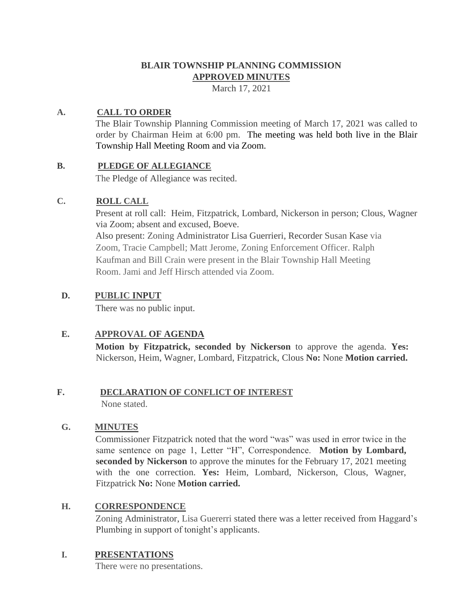## **BLAIR TOWNSHIP PLANNING COMMISSION APPROVED MINUTES**

March 17, 2021

#### **A. CALL TO ORDER**

The Blair Township Planning Commission meeting of March 17, 2021 was called to order by Chairman Heim at 6:00 pm. The meeting was held both live in the Blair Township Hall Meeting Room and via Zoom.

#### **B. PLEDGE OF ALLEGIANCE**

The Pledge of Allegiance was recited.

#### **C. ROLL CALL**

Present at roll call: Heim, Fitzpatrick, Lombard, Nickerson in person; Clous, Wagner via Zoom; absent and excused, Boeve. Also present: Zoning Administrator Lisa Guerrieri, Recorder Susan Kase via Zoom, Tracie Campbell; Matt Jerome, Zoning Enforcement Officer. Ralph

Kaufman and Bill Crain were present in the Blair Township Hall Meeting Room. Jami and Jeff Hirsch attended via Zoom.

## **D. PUBLIC INPUT**

There was no public input.

## **E. APPROVAL OF AGENDA**

**Motion by Fitzpatrick, seconded by Nickerson** to approve the agenda. **Yes:**  Nickerson, Heim, Wagner, Lombard, Fitzpatrick, Clous **No:** None **Motion carried.**

# **F. DECLARATION OF CONFLICT OF INTEREST**

None stated.

## **G. MINUTES**

Commissioner Fitzpatrick noted that the word "was" was used in error twice in the same sentence on page 1, Letter "H", Correspondence. **Motion by Lombard, seconded by Nickerson** to approve the minutes for the February 17, 2021 meeting with the one correction. **Yes:** Heim, Lombard, Nickerson, Clous, Wagner, Fitzpatrick **No:** None **Motion carried.**

## **H. CORRESPONDENCE**

Zoning Administrator, Lisa Guererri stated there was a letter received from Haggard's Plumbing in support of tonight's applicants.

## **I. PRESENTATIONS**

There were no presentations.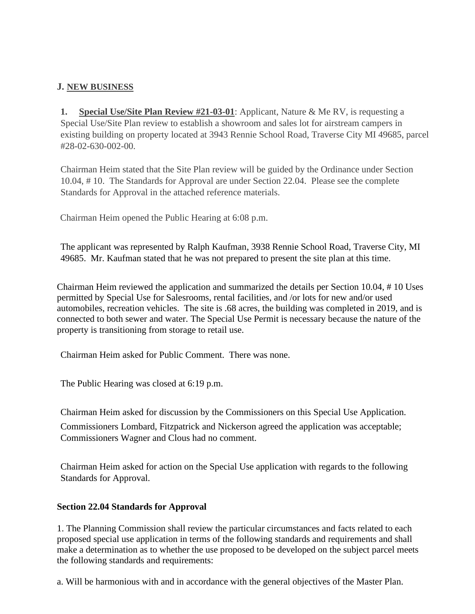#### **J. NEW BUSINESS**

**1. Special Use/Site Plan Review #21-03-01**: Applicant, Nature & Me RV, is requesting a Special Use/Site Plan review to establish a showroom and sales lot for airstream campers in existing building on property located at 3943 Rennie School Road, Traverse City MI 49685, parcel #28-02-630-002-00.

Chairman Heim stated that the Site Plan review will be guided by the Ordinance under Section 10.04, # 10. The Standards for Approval are under Section 22.04. Please see the complete Standards for Approval in the attached reference materials.

Chairman Heim opened the Public Hearing at 6:08 p.m.

The applicant was represented by Ralph Kaufman, 3938 Rennie School Road, Traverse City, MI 49685. Mr. Kaufman stated that he was not prepared to present the site plan at this time.

Chairman Heim reviewed the application and summarized the details per Section 10.04, # 10 Uses permitted by Special Use for Salesrooms, rental facilities, and /or lots for new and/or used automobiles, recreation vehicles. The site is .68 acres, the building was completed in 2019, and is connected to both sewer and water. The Special Use Permit is necessary because the nature of the property is transitioning from storage to retail use.

Chairman Heim asked for Public Comment. There was none.

The Public Hearing was closed at 6:19 p.m.

Chairman Heim asked for discussion by the Commissioners on this Special Use Application.

Commissioners Lombard, Fitzpatrick and Nickerson agreed the application was acceptable; Commissioners Wagner and Clous had no comment.

Chairman Heim asked for action on the Special Use application with regards to the following Standards for Approval.

#### **Section 22.04 Standards for Approval**

1. The Planning Commission shall review the particular circumstances and facts related to each proposed special use application in terms of the following standards and requirements and shall make a determination as to whether the use proposed to be developed on the subject parcel meets the following standards and requirements:

a. Will be harmonious with and in accordance with the general objectives of the Master Plan.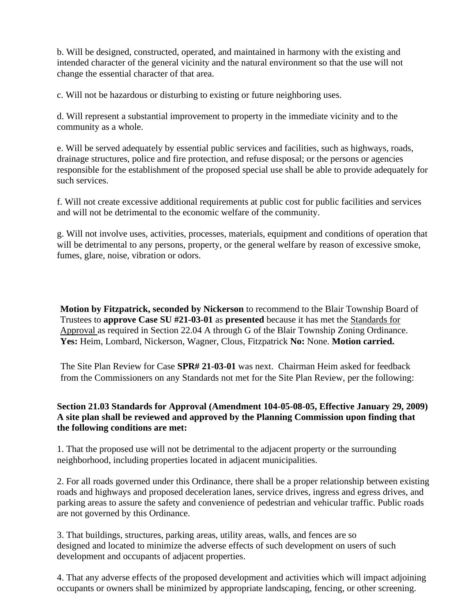b. Will be designed, constructed, operated, and maintained in harmony with the existing and intended character of the general vicinity and the natural environment so that the use will not change the essential character of that area.

c. Will not be hazardous or disturbing to existing or future neighboring uses.

d. Will represent a substantial improvement to property in the immediate vicinity and to the community as a whole.

e. Will be served adequately by essential public services and facilities, such as highways, roads, drainage structures, police and fire protection, and refuse disposal; or the persons or agencies responsible for the establishment of the proposed special use shall be able to provide adequately for such services.

f. Will not create excessive additional requirements at public cost for public facilities and services and will not be detrimental to the economic welfare of the community.

g. Will not involve uses, activities, processes, materials, equipment and conditions of operation that will be detrimental to any persons, property, or the general welfare by reason of excessive smoke, fumes, glare, noise, vibration or odors.

**Motion by Fitzpatrick, seconded by Nickerson** to recommend to the Blair Township Board of Trustees to **approve Case SU #21-03-01** as **presented** because it has met the Standards for Approval as required in Section 22.04 A through G of the Blair Township Zoning Ordinance. **Yes:** Heim, Lombard, Nickerson, Wagner, Clous, Fitzpatrick **No:** None. **Motion carried.** 

The Site Plan Review for Case **SPR# 21-03-01** was next. Chairman Heim asked for feedback from the Commissioners on any Standards not met for the Site Plan Review, per the following:

#### **Section 21.03 Standards for Approval (Amendment 104-05-08-05, Effective January 29, 2009) A site plan shall be reviewed and approved by the Planning Commission upon finding that the following conditions are met:**

1. That the proposed use will not be detrimental to the adjacent property or the surrounding neighborhood, including properties located in adjacent municipalities.

2. For all roads governed under this Ordinance, there shall be a proper relationship between existing roads and highways and proposed deceleration lanes, service drives, ingress and egress drives, and parking areas to assure the safety and convenience of pedestrian and vehicular traffic. Public roads are not governed by this Ordinance.

3. That buildings, structures, parking areas, utility areas, walls, and fences are so designed and located to minimize the adverse effects of such development on users of such development and occupants of adjacent properties.

4. That any adverse effects of the proposed development and activities which will impact adjoining occupants or owners shall be minimized by appropriate landscaping, fencing, or other screening.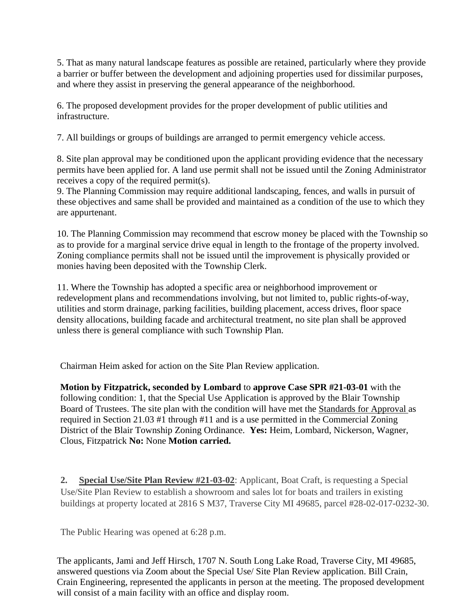5. That as many natural landscape features as possible are retained, particularly where they provide a barrier or buffer between the development and adjoining properties used for dissimilar purposes, and where they assist in preserving the general appearance of the neighborhood.

6. The proposed development provides for the proper development of public utilities and infrastructure.

7. All buildings or groups of buildings are arranged to permit emergency vehicle access.

8. Site plan approval may be conditioned upon the applicant providing evidence that the necessary permits have been applied for. A land use permit shall not be issued until the Zoning Administrator receives a copy of the required permit(s).

9. The Planning Commission may require additional landscaping, fences, and walls in pursuit of these objectives and same shall be provided and maintained as a condition of the use to which they are appurtenant.

10. The Planning Commission may recommend that escrow money be placed with the Township so as to provide for a marginal service drive equal in length to the frontage of the property involved. Zoning compliance permits shall not be issued until the improvement is physically provided or monies having been deposited with the Township Clerk.

11. Where the Township has adopted a specific area or neighborhood improvement or redevelopment plans and recommendations involving, but not limited to, public rights-of-way, utilities and storm drainage, parking facilities, building placement, access drives, floor space density allocations, building facade and architectural treatment, no site plan shall be approved unless there is general compliance with such Township Plan.

Chairman Heim asked for action on the Site Plan Review application.

**Motion by Fitzpatrick, seconded by Lombard** to **approve Case SPR #21-03-01** with the following condition: 1, that the Special Use Application is approved by the Blair Township Board of Trustees. The site plan with the condition will have met the Standards for Approval as required in Section 21.03 #1 through #11 and is a use permitted in the Commercial Zoning District of the Blair Township Zoning Ordinance. **Yes:** Heim, Lombard, Nickerson, Wagner, Clous, Fitzpatrick **No:** None **Motion carried.** 

**2. Special Use/Site Plan Review #21-03-02**: Applicant, Boat Craft, is requesting a Special Use/Site Plan Review to establish a showroom and sales lot for boats and trailers in existing buildings at property located at 2816 S M37, Traverse City MI 49685, parcel #28-02-017-0232-30.

The Public Hearing was opened at 6:28 p.m.

The applicants, Jami and Jeff Hirsch, 1707 N. South Long Lake Road, Traverse City, MI 49685, answered questions via Zoom about the Special Use/ Site Plan Review application. Bill Crain, Crain Engineering, represented the applicants in person at the meeting. The proposed development will consist of a main facility with an office and display room.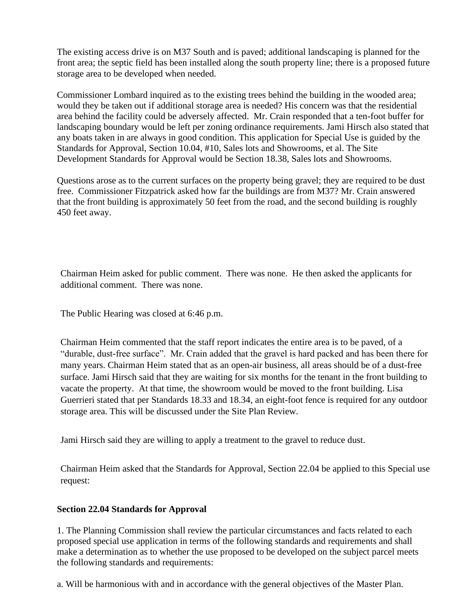The existing access drive is on M37 South and is paved; additional landscaping is planned for the front area; the septic field has been installed along the south property line; there is a proposed future storage area to be developed when needed.

Commissioner Lombard inquired as to the existing trees behind the building in the wooded area; would they be taken out if additional storage area is needed? His concern was that the residential area behind the facility could be adversely affected. Mr. Crain responded that a ten-foot buffer for landscaping boundary would be left per zoning ordinance requirements. Jami Hirsch also stated that any boats taken in are always in good condition. This application for Special Use is guided by the Standards for Approval, Section 10.04, #10, Sales lots and Showrooms, et al. The Site Development Standards for Approval would be Section 18.38, Sales lots and Showrooms.

Questions arose as to the current surfaces on the property being gravel; they are required to be dust free. Commissioner Fitzpatrick asked how far the buildings are from M37? Mr. Crain answered that the front building is approximately 50 feet from the road, and the second building is roughly 450 feet away.

Chairman Heim asked for public comment. There was none. He then asked the applicants for additional comment. There was none.

The Public Hearing was closed at 6:46 p.m.

Chairman Heim commented that the staff report indicates the entire area is to be paved, of a "durable, dust-free surface". Mr. Crain added that the gravel is hard packed and has been there for many years. Chairman Heim stated that as an open-air business, all areas should be of a dust-free surface. Jami Hirsch said that they are waiting for six months for the tenant in the front building to vacate the property. At that time, the showroom would be moved to the front building. Lisa Guerrieri stated that per Standards 18.33 and 18.34, an eight-foot fence is required for any outdoor storage area. This will be discussed under the Site Plan Review.

Jami Hirsch said they are willing to apply a treatment to the gravel to reduce dust.

Chairman Heim asked that the Standards for Approval, Section 22.04 be applied to this Special use request:

#### **Section 22.04 Standards for Approval**

1. The Planning Commission shall review the particular circumstances and facts related to each proposed special use application in terms of the following standards and requirements and shall make a determination as to whether the use proposed to be developed on the subject parcel meets the following standards and requirements:

a. Will be harmonious with and in accordance with the general objectives of the Master Plan.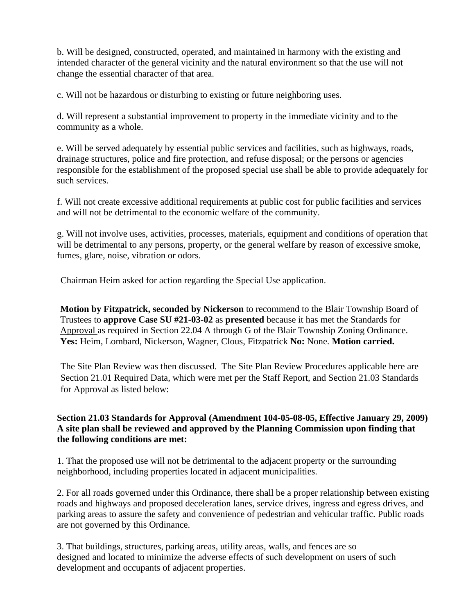b. Will be designed, constructed, operated, and maintained in harmony with the existing and intended character of the general vicinity and the natural environment so that the use will not change the essential character of that area.

c. Will not be hazardous or disturbing to existing or future neighboring uses.

d. Will represent a substantial improvement to property in the immediate vicinity and to the community as a whole.

e. Will be served adequately by essential public services and facilities, such as highways, roads, drainage structures, police and fire protection, and refuse disposal; or the persons or agencies responsible for the establishment of the proposed special use shall be able to provide adequately for such services.

f. Will not create excessive additional requirements at public cost for public facilities and services and will not be detrimental to the economic welfare of the community.

g. Will not involve uses, activities, processes, materials, equipment and conditions of operation that will be detrimental to any persons, property, or the general welfare by reason of excessive smoke, fumes, glare, noise, vibration or odors.

Chairman Heim asked for action regarding the Special Use application.

**Motion by Fitzpatrick, seconded by Nickerson** to recommend to the Blair Township Board of Trustees to **approve Case SU #21-03-02** as **presented** because it has met the Standards for Approval as required in Section 22.04 A through G of the Blair Township Zoning Ordinance. **Yes:** Heim, Lombard, Nickerson, Wagner, Clous, Fitzpatrick **No:** None. **Motion carried.** 

The Site Plan Review was then discussed. The Site Plan Review Procedures applicable here are Section 21.01 Required Data, which were met per the Staff Report, and Section 21.03 Standards for Approval as listed below:

#### **Section 21.03 Standards for Approval (Amendment 104-05-08-05, Effective January 29, 2009) A site plan shall be reviewed and approved by the Planning Commission upon finding that the following conditions are met:**

1. That the proposed use will not be detrimental to the adjacent property or the surrounding neighborhood, including properties located in adjacent municipalities.

2. For all roads governed under this Ordinance, there shall be a proper relationship between existing roads and highways and proposed deceleration lanes, service drives, ingress and egress drives, and parking areas to assure the safety and convenience of pedestrian and vehicular traffic. Public roads are not governed by this Ordinance.

3. That buildings, structures, parking areas, utility areas, walls, and fences are so designed and located to minimize the adverse effects of such development on users of such development and occupants of adjacent properties.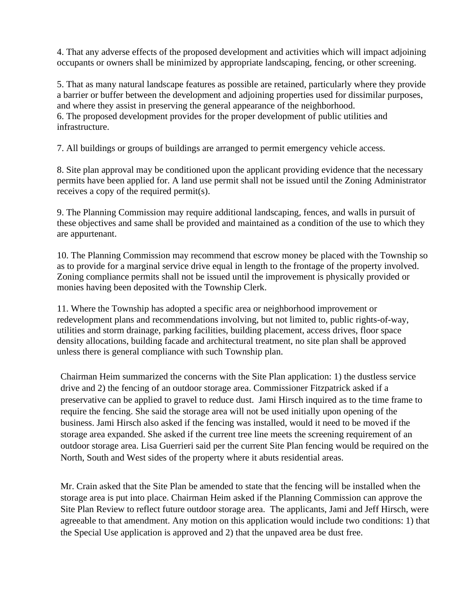4. That any adverse effects of the proposed development and activities which will impact adjoining occupants or owners shall be minimized by appropriate landscaping, fencing, or other screening.

5. That as many natural landscape features as possible are retained, particularly where they provide a barrier or buffer between the development and adjoining properties used for dissimilar purposes, and where they assist in preserving the general appearance of the neighborhood. 6. The proposed development provides for the proper development of public utilities and infrastructure.

7. All buildings or groups of buildings are arranged to permit emergency vehicle access.

8. Site plan approval may be conditioned upon the applicant providing evidence that the necessary permits have been applied for. A land use permit shall not be issued until the Zoning Administrator receives a copy of the required permit(s).

9. The Planning Commission may require additional landscaping, fences, and walls in pursuit of these objectives and same shall be provided and maintained as a condition of the use to which they are appurtenant.

10. The Planning Commission may recommend that escrow money be placed with the Township so as to provide for a marginal service drive equal in length to the frontage of the property involved. Zoning compliance permits shall not be issued until the improvement is physically provided or monies having been deposited with the Township Clerk.

11. Where the Township has adopted a specific area or neighborhood improvement or redevelopment plans and recommendations involving, but not limited to, public rights-of-way, utilities and storm drainage, parking facilities, building placement, access drives, floor space density allocations, building facade and architectural treatment, no site plan shall be approved unless there is general compliance with such Township plan.

Chairman Heim summarized the concerns with the Site Plan application: 1) the dustless service drive and 2) the fencing of an outdoor storage area. Commissioner Fitzpatrick asked if a preservative can be applied to gravel to reduce dust. Jami Hirsch inquired as to the time frame to require the fencing. She said the storage area will not be used initially upon opening of the business. Jami Hirsch also asked if the fencing was installed, would it need to be moved if the storage area expanded. She asked if the current tree line meets the screening requirement of an outdoor storage area. Lisa Guerrieri said per the current Site Plan fencing would be required on the North, South and West sides of the property where it abuts residential areas.

Mr. Crain asked that the Site Plan be amended to state that the fencing will be installed when the storage area is put into place. Chairman Heim asked if the Planning Commission can approve the Site Plan Review to reflect future outdoor storage area. The applicants, Jami and Jeff Hirsch, were agreeable to that amendment. Any motion on this application would include two conditions: 1) that the Special Use application is approved and 2) that the unpaved area be dust free.